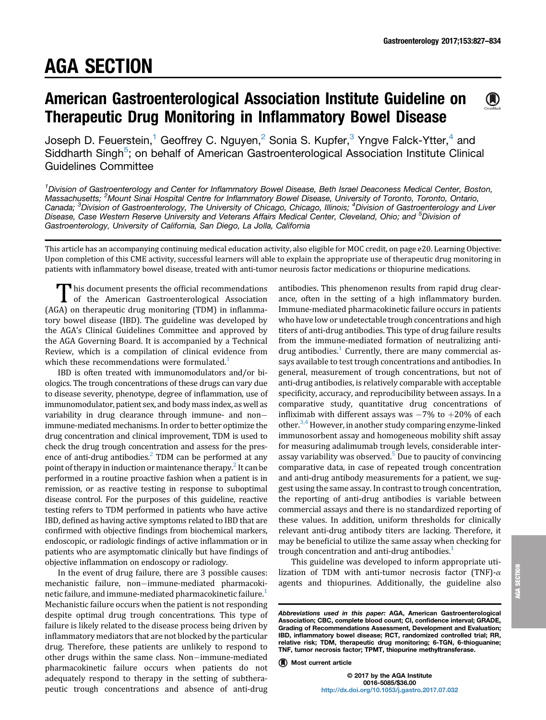# American Gastroenterological Association Institute Guideline on Therapeutic Drug Monitoring in Inflammatory Bowel Disease

Joseph D. Feuerstein,<sup>1</sup> Geoffrey C. Nguyen,<sup>2</sup> Sonia S. Kupfer,<sup>3</sup> Yngve Falck-Ytter,<sup>4</sup> and Siddharth Singh<sup>5</sup>; on behalf of American Gastroenterological Association Institute Clinical Guidelines Committee

<sup>1</sup>Division of Gastroenterology and Center for Inflammatory Bowel Disease, Beth Israel Deaconess Medical Center, Boston, Massachusetts; <sup>2</sup>Mount Sinai Hospital Centre for Inflammatory Bowel Disease, University of Toronto, Toronto, Ontario, Canada; <sup>3</sup>Division of Gastroenterology, The University of Chicago, Chicago, Illinois; <sup>4</sup>Division of Gastroenterology and Liver Disease, Case Western Reserve University and Veterans Affairs Medical Center, Cleveland, Ohio; and <sup>5</sup>Division of Gastroenterology, University of California, San Diego, La Jolla, California

This article has an accompanying continuing medical education activity, also eligible for MOC credit, on page e20. Learning Objective: Upon completion of this CME activity, successful learners will able to explain the appropriate use of therapeutic drug monitoring in patients with inflammatory bowel disease, treated with anti-tumor neurosis factor medications or thiopurine medications.

This document presents the official recommendations<br>of the American Gastroenterological Association (AGA) on therapeutic drug monitoring (TDM) in inflammatory bowel disease (IBD). The guideline was developed by the AGA's Clinical Guidelines Committee and approved by the AGA Governing Board. It is accompanied by a Technical Review, which is a compilation of clinical evidence from which these recommendations were formulated.<sup>1</sup>

IBD is often treated with immunomodulators and/or biologics. The trough concentrations of these drugs can vary due to disease severity, phenotype, degree of inflammation, use of immunomodulator, patient sex, and body mass index, as well as variability in drug clearance through immune- and non immune-mediated mechanisms. In order to better optimize the drug concentration and clinical improvement, TDM is used to check the drug trough concentration and assess for the pres-ence of anti-drug antibodies.<sup>[2](#page-6-0)</sup> TDM can be performed at any point of therapy in induction or maintenance therapy.<sup>[2](#page-6-0)</sup> It can be performed in a routine proactive fashion when a patient is in remission, or as reactive testing in response to suboptimal disease control. For the purposes of this guideline, reactive testing refers to TDM performed in patients who have active IBD, defined as having active symptoms related to IBD that are confirmed with objective findings from biochemical markers, endoscopic, or radiologic findings of active inflammation or in patients who are asymptomatic clinically but have findings of objective inflammation on endoscopy or radiology.

In the event of drug failure, there are 3 possible causes: mechanistic failure, non-immune-mediated pharmacokinetic failure, and immune-mediated pharmacokinetic failure.<sup>1</sup> Mechanistic failure occurs when the patient is not responding despite optimal drug trough concentrations. This type of failure is likely related to the disease process being driven by inflammatory mediators that are not blocked by the particular drug. Therefore, these patients are unlikely to respond to other drugs within the same class. Non-immune-mediated pharmacokinetic failure occurs when patients do not adequately respond to therapy in the setting of subtherapeutic trough concentrations and absence of anti-drug

antibodies. This phenomenon results from rapid drug clearance, often in the setting of a high inflammatory burden. Immune-mediated pharmacokinetic failure occurs in patients who have low or undetectable trough concentrations and high titers of anti-drug antibodies. This type of drug failure results from the immune-mediated formation of neutralizing antidrug antibodies.<sup>1</sup> Currently, there are many commercial assays available to test trough concentrations and antibodies. In general, measurement of trough concentrations, but not of anti-drug antibodies, is relatively comparable with acceptable specificity, accuracy, and reproducibility between assays. In a comparative study, quantitative drug concentrations of infliximab with different assays was  $-7\%$  to  $+20\%$  of each other.<sup>3,4</sup> However, in another study comparing enzyme-linked immunosorbent assay and homogeneous mobility shift assay for measuring adalimumab trough levels, considerable interassay variability was observed.<sup>5</sup> Due to paucity of convincing comparative data, in case of repeated trough concentration and anti-drug antibody measurements for a patient, we suggest using the same assay. In contrast to trough concentration, the reporting of anti-drug antibodies is variable between commercial assays and there is no standardized reporting of these values. In addition, uniform thresholds for clinically relevant anti-drug antibody titers are lacking. Therefore, it may be beneficial to utilize the same assay when checking for trough concentration and anti-drug antibodies.<sup>1</sup>

This guideline was developed to inform appropriate utilization of TDM with anti-tumor necrosis factor (TNF)- $\alpha$ agents and thiopurines. Additionally, the guideline also

**(A)** Most current article



Abbreviations used in this paper: AGA, American Gastroenterological Association; CBC, complete blood count; CI, confidence interval; GRADE, Grading of Recommendations Assessment, Development and Evaluation; IBD, inflammatory bowel disease; RCT, randomized controlled trial; RR, relative risk; TDM, therapeutic drug monitoring; 6-TGN, 6-thioguanine; TNF, tumor necrosis factor; TPMT, thiopurine methyltransferase.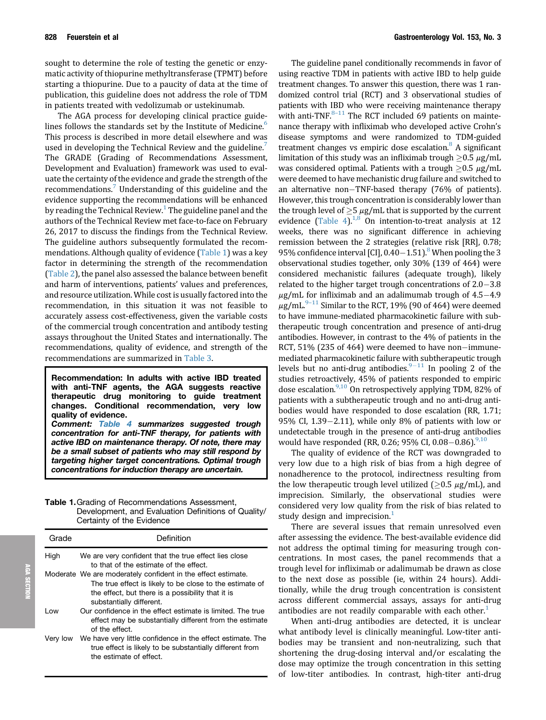sought to determine the role of testing the genetic or enzymatic activity of thiopurine methyltransferase (TPMT) before starting a thiopurine. Due to a paucity of data at the time of publication, this guideline does not address the role of TDM in patients treated with vedolizumab or ustekinumab.

The AGA process for developing clinical practice guidelines follows the standards set by the Institute of Medicine.<sup>6</sup> This process is described in more detail elsewhere and was used in developing the Technical Review and the guideline.<sup>7</sup> The GRADE (Grading of Recommendations Assessment, Development and Evaluation) framework was used to evaluate the certainty of the evidence and grade the strength of the recommendations.<sup>[7](#page-6-0)</sup> Understanding of this guideline and the evidence supporting the recommendations will be enhanced by reading the Technical Review.<sup>1</sup> The guideline panel and the authors of the Technical Review met face-to-face on February 26, 2017 to discuss the findings from the Technical Review. The guideline authors subsequently formulated the recommendations. Although quality of evidence (Table 1) was a key factor in determining the strength of the recommendation [\(Table 2](#page-2-0)), the panel also assessed the balance between benefit and harm of interventions, patients' values and preferences, and resource utilization. While cost is usually factored into the recommendation, in this situation it was not feasible to accurately assess cost-effectiveness, given the variable costs of the commercial trough concentration and antibody testing assays throughout the United States and internationally. The recommendations, quality of evidence, and strength of the recommendations are summarized in [Table 3](#page-2-0).

Recommendation: In adults with active IBD treated with anti-TNF agents, the AGA suggests reactive therapeutic drug monitoring to guide treatment changes. Conditional recommendation, very low quality of evidence.

Comment: [Table 4](#page-3-0) summarizes suggested trough concentration for anti-TNF therapy, for patients with active IBD on maintenance therapy. Of note, there may be a small subset of patients who may still respond by targeting higher target concentrations. Optimal trough concentrations for induction therapy are uncertain.

Table 1. Grading of Recommendations Assessment, Development, and Evaluation Definitions of Quality/ Certainty of the Evidence

| Grade    | Definition                                                                                                                                                                                                |
|----------|-----------------------------------------------------------------------------------------------------------------------------------------------------------------------------------------------------------|
| High     | We are very confident that the true effect lies close<br>to that of the estimate of the effect.                                                                                                           |
|          | Moderate We are moderately confident in the effect estimate.<br>The true effect is likely to be close to the estimate of<br>the effect, but there is a possibility that it is<br>substantially different. |
| Low      | Our confidence in the effect estimate is limited. The true<br>effect may be substantially different from the estimate<br>of the effect.                                                                   |
| Very low | We have very little confidence in the effect estimate. The<br>true effect is likely to be substantially different from<br>the estimate of effect.                                                         |

The guideline panel conditionally recommends in favor of using reactive TDM in patients with active IBD to help guide treatment changes. To answer this question, there was 1 randomized control trial (RCT) and 3 observational studies of patients with IBD who were receiving maintenance therapy with anti-TNF. $8-11$  $8-11$  The RCT included 69 patients on maintenance therapy with infliximab who developed active Crohn's disease symptoms and were randomized to TDM-guided treatment changes vs empiric dose escalation. $8$  A significant limitation of this study was an infliximab trough  $> 0.5 \mu$ g/mL was considered optimal. Patients with a trough  $> 0.5 \mu$ g/mL were deemed to have mechanistic drug failure and switched to an alternative non $-TNF$ -based therapy (76% of patients). However, this trough concentration is considerably lower than the trough level of  $\geq$  5  $\mu$ g/mL that is supported by the current evidence [\(Table 4\)](#page-3-0). $^{1,8}$  On intention-to-treat analysis at 12 weeks, there was no significant difference in achieving remission between the 2 strategies (relative risk [RR], 0.78; 95% confidence interval [CI],  $0.40-1.51$ . When pooling the 3 observational studies together, only 30% (139 of 464) were considered mechanistic failures (adequate trough), likely related to the higher target trough concentrations of  $2.0-3.8$  $\mu$ g/mL for infliximab and an adalimumab trough of 4.5–4.9  $\mu$ g/mL.<sup>[9](#page-6-0)–[11](#page-6-0)</sup> Similar to the RCT, 19% (90 of 464) were deemed to have immune-mediated pharmacokinetic failure with subtherapeutic trough concentration and presence of anti-drug antibodies. However, in contrast to the 4% of patients in the RCT,  $51\%$  (235 of 464) were deemed to have non-immunemediated pharmacokinetic failure with subtherapeutic trough levels but no anti-drug antibodies. $9-11$  $9-11$  $9-11$  In pooling 2 of the studies retroactively, 45% of patients responded to empiric dose escalation.<sup>9,10</sup> On retrospectively applying TDM, 82% of patients with a subtherapeutic trough and no anti-drug antibodies would have responded to dose escalation (RR, 1.71; 95% CI,  $1.39-2.11$ ), while only 8% of patients with low or undetectable trough in the presence of anti-drug antibodies would have responded (RR, 0.26; 95% CI, 0.08–0.86).<sup>9,10</sup>

The quality of evidence of the RCT was downgraded to very low due to a high risk of bias from a high degree of nonadherence to the protocol, indirectness resulting from the low therapeutic trough level utilized ( $\geq$ 0.5  $\mu$ g/mL), and imprecision. Similarly, the observational studies were considered very low quality from the risk of bias related to study design and imprecision.<sup>[1](#page-6-0)</sup>

There are several issues that remain unresolved even after assessing the evidence. The best-available evidence did not address the optimal timing for measuring trough concentrations. In most cases, the panel recommends that a trough level for infliximab or adalimumab be drawn as close to the next dose as possible (ie, within 24 hours). Additionally, while the drug trough concentration is consistent across different commercial assays, assays for anti-drug antibodies are not readily comparable with each other. $<sup>1</sup>$  $<sup>1</sup>$  $<sup>1</sup>$ </sup>

When anti-drug antibodies are detected, it is unclear what antibody level is clinically meaningful. Low-titer antibodies may be transient and non-neutralizing, such that shortening the drug-dosing interval and/or escalating the dose may optimize the trough concentration in this setting of low-titer antibodies. In contrast, high-titer anti-drug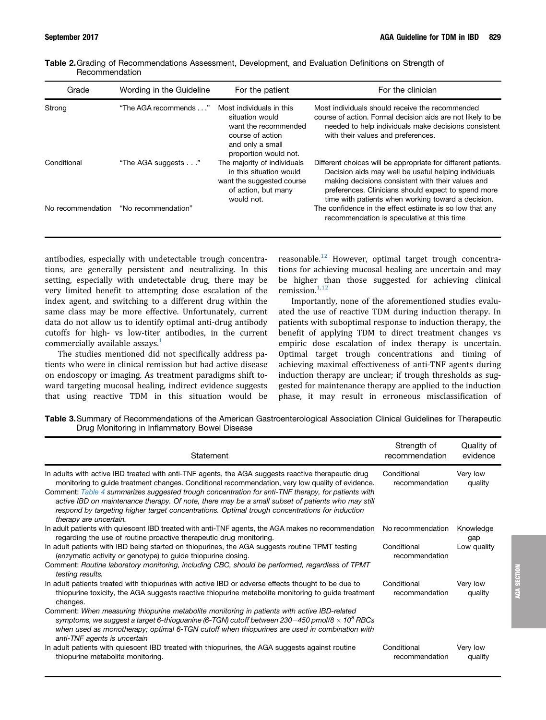<span id="page-2-0"></span>

| Table 2. Grading of Recommendations Assessment, Development, and Evaluation Definitions on Strength of |  |  |
|--------------------------------------------------------------------------------------------------------|--|--|
| Recommendation                                                                                         |  |  |

| Grade             | Wording in the Guideline | For the patient                                                                                                                      | For the clinician                                                                                                                                                                                                                                                                       |
|-------------------|--------------------------|--------------------------------------------------------------------------------------------------------------------------------------|-----------------------------------------------------------------------------------------------------------------------------------------------------------------------------------------------------------------------------------------------------------------------------------------|
| Strong            | "The AGA recommends"     | Most individuals in this<br>situation would<br>want the recommended<br>course of action<br>and only a small<br>proportion would not. | Most individuals should receive the recommended<br>course of action. Formal decision aids are not likely to be<br>needed to help individuals make decisions consistent<br>with their values and preferences.                                                                            |
| Conditional       | "The AGA suggests"       | The majority of individuals<br>in this situation would<br>want the suggested course<br>of action, but many<br>would not.             | Different choices will be appropriate for different patients.<br>Decision aids may well be useful helping individuals<br>making decisions consistent with their values and<br>preferences. Clinicians should expect to spend more<br>time with patients when working toward a decision. |
| No recommendation | "No recommendation"      |                                                                                                                                      | The confidence in the effect estimate is so low that any<br>recommendation is speculative at this time                                                                                                                                                                                  |

antibodies, especially with undetectable trough concentrations, are generally persistent and neutralizing. In this setting, especially with undetectable drug, there may be very limited benefit to attempting dose escalation of the index agent, and switching to a different drug within the same class may be more effective. Unfortunately, current data do not allow us to identify optimal anti-drug antibody cutoffs for high- vs low-titer antibodies, in the current commercially available assays. $<sup>1</sup>$  $<sup>1</sup>$  $<sup>1</sup>$ </sup>

The studies mentioned did not specifically address patients who were in clinical remission but had active disease on endoscopy or imaging. As treatment paradigms shift toward targeting mucosal healing, indirect evidence suggests that using reactive TDM in this situation would be reasonable.<sup>[12](#page-7-0)</sup> However, optimal target trough concentrations for achieving mucosal healing are uncertain and may be higher than those suggested for achieving clinical remission.<sup>[1,12](#page-6-0)</sup>

Importantly, none of the aforementioned studies evaluated the use of reactive TDM during induction therapy. In patients with suboptimal response to induction therapy, the benefit of applying TDM to direct treatment changes vs empiric dose escalation of index therapy is uncertain. Optimal target trough concentrations and timing of achieving maximal effectiveness of anti-TNF agents during induction therapy are unclear; if trough thresholds as suggested for maintenance therapy are applied to the induction phase, it may result in erroneous misclassification of

Table 3.Summary of Recommendations of the American Gastroenterological Association Clinical Guidelines for Therapeutic Drug Monitoring in Inflammatory Bowel Disease

| Statement                                                                                                                                                                                                                                                                                                                                       | Strength of<br>recommendation | Quality of<br>evidence |
|-------------------------------------------------------------------------------------------------------------------------------------------------------------------------------------------------------------------------------------------------------------------------------------------------------------------------------------------------|-------------------------------|------------------------|
| In adults with active IBD treated with anti-TNF agents, the AGA suggests reactive therapeutic drug<br>monitoring to guide treatment changes. Conditional recommendation, very low quality of evidence.                                                                                                                                          | Conditional<br>recommendation | Very low<br>quality    |
| Comment: Table 4 summarizes suggested trough concentration for anti-TNF therapy, for patients with<br>active IBD on maintenance therapy. Of note, there may be a small subset of patients who may still<br>respond by targeting higher target concentrations. Optimal trough concentrations for induction<br>therapy are uncertain.             |                               |                        |
| In adult patients with quiescent IBD treated with anti-TNF agents, the AGA makes no recommendation<br>regarding the use of routine proactive therapeutic drug monitoring.                                                                                                                                                                       | No recommendation             | Knowledge<br>gap       |
| In adult patients with IBD being started on thiopurines, the AGA suggests routine TPMT testing<br>(enzymatic activity or genotype) to guide thiopurine dosing.                                                                                                                                                                                  | Conditional<br>recommendation | Low quality            |
| Comment: Routine laboratory monitoring, including CBC, should be performed, regardless of TPMT<br>testing results.                                                                                                                                                                                                                              |                               |                        |
| In adult patients treated with thiopurines with active IBD or adverse effects thought to be due to<br>thiopurine toxicity, the AGA suggests reactive thiopurine metabolite monitoring to guide treatment<br>changes.                                                                                                                            | Conditional<br>recommendation | Very low<br>quality    |
| Comment: When measuring thiopurine metabolite monitoring in patients with active IBD-related<br>symptoms, we suggest a target 6-thioguanine (6-TGN) cutoff between 230-450 pmol/8 $\times$ 10 <sup>8</sup> RBCs<br>when used as monotherapy; optimal 6-TGN cutoff when thiopurines are used in combination with<br>anti-TNF agents is uncertain |                               |                        |
| In adult patients with quiescent IBD treated with thiopurines, the AGA suggests against routine<br>thiopurine metabolite monitoring.                                                                                                                                                                                                            | Conditional<br>recommendation | Very low<br>quality    |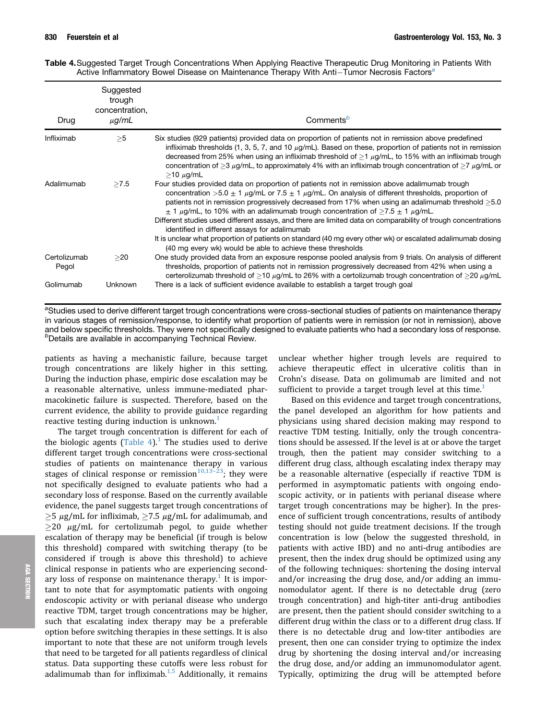<span id="page-3-0"></span>Table 4.Suggested Target Trough Concentrations When Applying Reactive Therapeutic Drug Monitoring in Patients With Active Inflammatory Bowel Disease on Maintenance Therapy With Anti-Tumor Necrosis Factors<sup>a</sup>

| Drug                  | Suggested<br>trough<br>concentration,<br>$\mu$ g/mL | Comments <sup>b</sup>                                                                                                                                                                                                                                                                                                                                                                                                                                                                                                                                                                                                                                                                                                                                                       |
|-----------------------|-----------------------------------------------------|-----------------------------------------------------------------------------------------------------------------------------------------------------------------------------------------------------------------------------------------------------------------------------------------------------------------------------------------------------------------------------------------------------------------------------------------------------------------------------------------------------------------------------------------------------------------------------------------------------------------------------------------------------------------------------------------------------------------------------------------------------------------------------|
| Infliximab            | >5                                                  | Six studies (929 patients) provided data on proportion of patients not in remission above predefined<br>infliximab thresholds (1, 3, 5, 7, and 10 $\mu g/mL$ ). Based on these, proportion of patients not in remission<br>decreased from 25% when using an infliximab threshold of $>1 \mu g/mL$ , to 15% with an infliximab trough<br>concentration of >3 $\mu$ g/mL, to approximately 4% with an infliximab trough concentration of >7 $\mu$ g/mL or<br>$>10 \mu$ g/mL                                                                                                                                                                                                                                                                                                   |
| Adalimumab            | >7.5                                                | Four studies provided data on proportion of patients not in remission above adalimumab trough<br>concentration >5.0 $\pm$ 1 $\mu$ g/mL or 7.5 $\pm$ 1 $\mu$ g/mL. On analysis of different thresholds, proportion of<br>patients not in remission progressively decreased from 17% when using an adalimumab threshold >5.0<br>$\pm$ 1 $\mu$ g/mL, to 10% with an adalimumab trough concentration of >7.5 $\pm$ 1 $\mu$ g/mL.<br>Different studies used different assays, and there are limited data on comparability of trough concentrations<br>identified in different assays for adalimumab<br>It is unclear what proportion of patients on standard (40 mg every other wk) or escalated adalimumab dosing<br>(40 mg every wk) would be able to achieve these thresholds |
| Certolizumab<br>Pegol | >20                                                 | One study provided data from an exposure response pooled analysis from 9 trials. On analysis of different<br>thresholds, proportion of patients not in remission progressively decreased from 42% when using a<br>certerolizumab threshold of $\geq$ 10 $\mu$ g/mL to 26% with a certolizumab trough concentration of $\geq$ 20 $\mu$ g/mL                                                                                                                                                                                                                                                                                                                                                                                                                                  |
| Golimumab             | Unknown                                             | There is a lack of sufficient evidence available to establish a target trough goal                                                                                                                                                                                                                                                                                                                                                                                                                                                                                                                                                                                                                                                                                          |

<sup>a</sup>Studies used to derive different target trough concentrations were cross-sectional studies of patients on maintenance therapy in various stages of remission/response, to identify what proportion of patients were in remission (or not in remission), above and below specific thresholds. They were not specifically designed to evaluate patients who had a secondary loss of response. Details are available in accompanying Technical Review.

patients as having a mechanistic failure, because target trough concentrations are likely higher in this setting. During the induction phase, empiric dose escalation may be a reasonable alternative, unless immune-mediated pharmacokinetic failure is suspected. Therefore, based on the current evidence, the ability to provide guidance regarding reactive testing during induction is unknown.<sup>[1](#page-6-0)</sup>

The target trough concentration is different for each of the biologic agents  $(Table 4)^{1}$  $(Table 4)^{1}$  $(Table 4)^{1}$ . The studies used to derive different target trough concentrations were cross-sectional studies of patients on maintenance therapy in various stages of clinical response or remission<sup>[10,13](#page-6-0)-23</sup>; they were not specifically designed to evaluate patients who had a secondary loss of response. Based on the currently available evidence, the panel suggests target trough concentrations of  $\geq$ 5  $\mu$ g/mL for infliximab,  $\geq$ 7.5  $\mu$ g/mL for adalimumab, and  $>$ 20  $\mu$ g/mL for certolizumab pegol, to guide whether escalation of therapy may be beneficial (if trough is below this threshold) compared with switching therapy (to be considered if trough is above this threshold) to achieve clinical response in patients who are experiencing second-ary loss of response on maintenance therapy.<sup>[1](#page-6-0)</sup> It is important to note that for asymptomatic patients with ongoing endoscopic activity or with perianal disease who undergo reactive TDM, target trough concentrations may be higher, such that escalating index therapy may be a preferable option before switching therapies in these settings. It is also important to note that these are not uniform trough levels that need to be targeted for all patients regardless of clinical status. Data supporting these cutoffs were less robust for adalimumab than for infliximab. $1,5$  Additionally, it remains

unclear whether higher trough levels are required to achieve therapeutic effect in ulcerative colitis than in Crohn's disease. Data on golimumab are limited and not sufficient to provide a target trough level at this time. $<sup>1</sup>$  $<sup>1</sup>$  $<sup>1</sup>$ </sup>

Based on this evidence and target trough concentrations, the panel developed an algorithm for how patients and physicians using shared decision making may respond to reactive TDM testing. Initially, only the trough concentrations should be assessed. If the level is at or above the target trough, then the patient may consider switching to a different drug class, although escalating index therapy may be a reasonable alternative (especially if reactive TDM is performed in asymptomatic patients with ongoing endoscopic activity, or in patients with perianal disease where target trough concentrations may be higher). In the presence of sufficient trough concentrations, results of antibody testing should not guide treatment decisions. If the trough concentration is low (below the suggested threshold, in patients with active IBD) and no anti-drug antibodies are present, then the index drug should be optimized using any of the following techniques: shortening the dosing interval and/or increasing the drug dose, and/or adding an immunomodulator agent. If there is no detectable drug (zero trough concentration) and high-titer anti-drug antibodies are present, then the patient should consider switching to a different drug within the class or to a different drug class. If there is no detectable drug and low-titer antibodies are present, then one can consider trying to optimize the index drug by shortening the dosing interval and/or increasing the drug dose, and/or adding an immunomodulator agent. Typically, optimizing the drug will be attempted before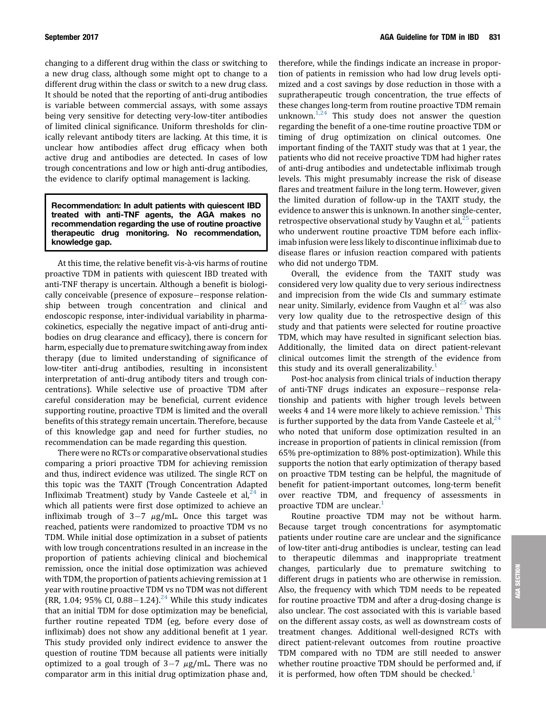changing to a different drug within the class or switching to a new drug class, although some might opt to change to a different drug within the class or switch to a new drug class. It should be noted that the reporting of anti-drug antibodies is variable between commercial assays, with some assays being very sensitive for detecting very-low-titer antibodies of limited clinical significance. Uniform thresholds for clinically relevant antibody titers are lacking. At this time, it is unclear how antibodies affect drug efficacy when both active drug and antibodies are detected. In cases of low trough concentrations and low or high anti-drug antibodies, the evidence to clarify optimal management is lacking.

Recommendation: In adult patients with quiescent IBD treated with anti-TNF agents, the AGA makes no recommendation regarding the use of routine proactive therapeutic drug monitoring. No recommendation, knowledge gap.

At this time, the relative benefit vis-à-vis harms of routine proactive TDM in patients with quiescent IBD treated with anti-TNF therapy is uncertain. Although a benefit is biologically conceivable (presence of exposure-response relationship between trough concentration and clinical and endoscopic response, inter-individual variability in pharmacokinetics, especially the negative impact of anti-drug antibodies on drug clearance and efficacy), there is concern for harm, especially due to premature switching away from index therapy (due to limited understanding of significance of low-titer anti-drug antibodies, resulting in inconsistent interpretation of anti-drug antibody titers and trough concentrations). While selective use of proactive TDM after careful consideration may be beneficial, current evidence supporting routine, proactive TDM is limited and the overall benefits of this strategy remain uncertain. Therefore, because of this knowledge gap and need for further studies, no recommendation can be made regarding this question.

There were no RCTs or comparative observational studies comparing a priori proactive TDM for achieving remission and thus, indirect evidence was utilized. The single RCT on this topic was the TAXIT (Trough Concentration Adapted Infliximab Treatment) study by Vande Casteele et al, $^{24}$  $^{24}$  $^{24}$  in which all patients were first dose optimized to achieve an infliximab trough of  $3-7 \mu g/mL$ . Once this target was reached, patients were randomized to proactive TDM vs no TDM. While initial dose optimization in a subset of patients with low trough concentrations resulted in an increase in the proportion of patients achieving clinical and biochemical remission, once the initial dose optimization was achieved with TDM, the proportion of patients achieving remission at 1 year with routine proactive TDM vs no TDM was not different (RR, 1.04; 95% CI, 0.88-1.[24](#page-7-0)).<sup>24</sup> While this study indicates that an initial TDM for dose optimization may be beneficial, further routine repeated TDM (eg, before every dose of infliximab) does not show any additional benefit at 1 year. This study provided only indirect evidence to answer the question of routine TDM because all patients were initially optimized to a goal trough of  $3-7 \mu g/mL$ . There was no comparator arm in this initial drug optimization phase and,

therefore, while the findings indicate an increase in proportion of patients in remission who had low drug levels optimized and a cost savings by dose reduction in those with a supratherapeutic trough concentration, the true effects of these changes long-term from routine proactive TDM remain unknown. $1,24$  This study does not answer the question regarding the benefit of a one-time routine proactive TDM or timing of drug optimization on clinical outcomes. One important finding of the TAXIT study was that at 1 year, the patients who did not receive proactive TDM had higher rates of anti-drug antibodies and undetectable infliximab trough levels. This might presumably increase the risk of disease flares and treatment failure in the long term. However, given the limited duration of follow-up in the TAXIT study, the evidence to answer this is unknown. In another single-center, retrospective observational study by Vaughn et al, $^{25}$  $^{25}$  $^{25}$  patients who underwent routine proactive TDM before each infliximab infusion were less likely to discontinue infliximab due to disease flares or infusion reaction compared with patients who did not undergo TDM.

Overall, the evidence from the TAXIT study was considered very low quality due to very serious indirectness and imprecision from the wide CIs and summary estimate near unity. Similarly, evidence from Vaughn et al<sup>[25](#page-7-0)</sup> was also very low quality due to the retrospective design of this study and that patients were selected for routine proactive TDM, which may have resulted in significant selection bias. Additionally, the limited data on direct patient-relevant clinical outcomes limit the strength of the evidence from this study and its overall generalizability. $<sup>1</sup>$  $<sup>1</sup>$  $<sup>1</sup>$ </sup>

Post-hoc analysis from clinical trials of induction therapy of anti-TNF drugs indicates an exposure-response relationship and patients with higher trough levels between weeks 4 and [1](#page-6-0)4 were more likely to achieve remission.<sup>1</sup> This is further supported by the data from Vande Casteele et al,  $\sim$ who noted that uniform dose optimization resulted in an increase in proportion of patients in clinical remission (from 65% pre-optimization to 88% post-optimization). While this supports the notion that early optimization of therapy based on proactive TDM testing can be helpful, the magnitude of benefit for patient-important outcomes, long-term benefit over reactive TDM, and frequency of assessments in proactive TDM are unclear.<sup>[1](#page-6-0)</sup>

Routine proactive TDM may not be without harm. Because target trough concentrations for asymptomatic patients under routine care are unclear and the significance of low-titer anti-drug antibodies is unclear, testing can lead to therapeutic dilemmas and inappropriate treatment changes, particularly due to premature switching to different drugs in patients who are otherwise in remission. Also, the frequency with which TDM needs to be repeated for routine proactive TDM and after a drug-dosing change is also unclear. The cost associated with this is variable based on the different assay costs, as well as downstream costs of treatment changes. Additional well-designed RCTs with direct patient-relevant outcomes from routine proactive TDM compared with no TDM are still needed to answer whether routine proactive TDM should be performed and, if it is performed, how often TDM should be checked.<sup>[1](#page-6-0)</sup>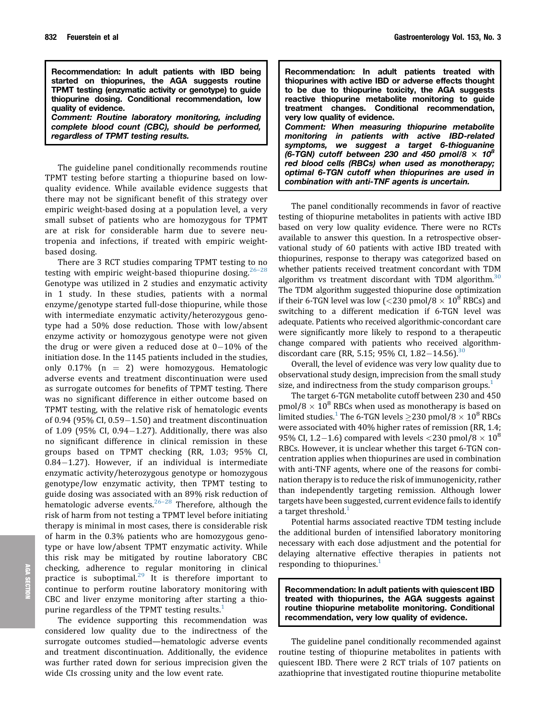Recommendation: In adult patients with IBD being started on thiopurines, the AGA suggests routine TPMT testing (enzymatic activity or genotype) to guide thiopurine dosing. Conditional recommendation, low quality of evidence.

Comment: Routine laboratory monitoring, including complete blood count (CBC), should be performed, regardless of TPMT testing results.

The guideline panel conditionally recommends routine TPMT testing before starting a thiopurine based on lowquality evidence. While available evidence suggests that there may not be significant benefit of this strategy over empiric weight-based dosing at a population level, a very small subset of patients who are homozygous for TPMT are at risk for considerable harm due to severe neutropenia and infections, if treated with empiric weightbased dosing.

There are 3 RCT studies comparing TPMT testing to no testing with empiric weight-based thiopurine dosing.<sup>[26](#page-7-0)-[28](#page-7-0)</sup> Genotype was utilized in 2 studies and enzymatic activity in 1 study. In these studies, patients with a normal enzyme/genotype started full-dose thiopurine, while those with intermediate enzymatic activity/heterozygous genotype had a 50% dose reduction. Those with low/absent enzyme activity or homozygous genotype were not given the drug or were given a reduced dose at  $0-10\%$  of the initiation dose. In the 1145 patients included in the studies, only  $0.17\%$  (n = 2) were homozygous. Hematologic adverse events and treatment discontinuation were used as surrogate outcomes for benefits of TPMT testing. There was no significant difference in either outcome based on TPMT testing, with the relative risk of hematologic events of 0.94 (95% CI,  $0.59-1.50$ ) and treatment discontinuation of 1.09 (95% CI, 0.94 $-1.27$ ). Additionally, there was also no significant difference in clinical remission in these groups based on TPMT checking (RR, 1.03; 95% CI,  $0.84 - 1.27$ ). However, if an individual is intermediate enzymatic activity/heterozygous genotype or homozygous genotype/low enzymatic activity, then TPMT testing to guide dosing was associated with an 89% risk reduction of hematologic adverse events.  $26-28$  $26-28$  $26-28$  Therefore, although the risk of harm from not testing a TPMT level before initiating therapy is minimal in most cases, there is considerable risk of harm in the 0.3% patients who are homozygous genotype or have low/absent TPMT enzymatic activity. While this risk may be mitigated by routine laboratory CBC checking, adherence to regular monitoring in clinical practice is suboptimal. $^{29}$  $^{29}$  $^{29}$  It is therefore important to continue to perform routine laboratory monitoring with CBC and liver enzyme monitoring after starting a thiopurine regardless of the TPMT testing results $<sup>1</sup>$  $<sup>1</sup>$  $<sup>1</sup>$ </sup>

The evidence supporting this recommendation was considered low quality due to the indirectness of the surrogate outcomes studied—hematologic adverse events and treatment discontinuation. Additionally, the evidence was further rated down for serious imprecision given the wide CIs crossing unity and the low event rate.

Recommendation: In adult patients treated with thiopurines with active IBD or adverse effects thought to be due to thiopurine toxicity, the AGA suggests reactive thiopurine metabolite monitoring to guide treatment changes. Conditional recommendation, very low quality of evidence. Comment: When measuring thiopurine metabolite monitoring in patients with active IBD-related symptoms, we suggest a target 6-thioguanine (6-TGN) cutoff between 230 and 450 pmol/8  $\times$  10<sup>8</sup> red blood cells (RBCs) when used as monotherapy; optimal 6-TGN cutoff when thiopurines are used in combination with anti-TNF agents is uncertain.

The panel conditionally recommends in favor of reactive testing of thiopurine metabolites in patients with active IBD based on very low quality evidence. There were no RCTs available to answer this question. In a retrospective observational study of 60 patients with active IBD treated with thiopurines, response to therapy was categorized based on whether patients received treatment concordant with TDM algorithm vs treatment discordant with TDM algorithm.<sup>30</sup> The TDM algorithm suggested thiopurine dose optimization if their 6-TGN level was low (<230 pmol/8  $\times$  10<sup>8</sup> RBCs) and switching to a different medication if 6-TGN level was adequate. Patients who received algorithmic-concordant care were significantly more likely to respond to a therapeutic change compared with patients who received algorithmdiscordant care (RR, 5.15; 95% CI, 1.82-14.56).<sup>30</sup>

Overall, the level of evidence was very low quality due to observational study design, imprecision from the small study size, and indirectness from the study comparison groups.<sup>[1](#page-6-0)</sup>

The target 6-TGN metabolite cutoff between 230 and 450 pmol/8  $\times$  10<sup>8</sup> RBCs when used as monotherapy is based on limited studies.<sup>[1](#page-6-0)</sup> The 6-TGN levels  $\geq$ 230 pmol/8  $\times$  10<sup>8</sup> RBCs were associated with 40% higher rates of remission (RR, 1.4; 95% CI, 1.2–1.6) compared with levels  $\langle 230 \text{ pmol}/8 \times 10^8$ RBCs. However, it is unclear whether this target 6-TGN concentration applies when thiopurines are used in combination with anti-TNF agents, where one of the reasons for combination therapy is to reduce the risk of immunogenicity, rather than independently targeting remission. Although lower targets have been suggested, current evidence fails to identify a target threshold. $<sup>1</sup>$  $<sup>1</sup>$  $<sup>1</sup>$ </sup>

Potential harms associated reactive TDM testing include the additional burden of intensified laboratory monitoring necessary with each dose adjustment and the potential for delaying alternative effective therapies in patients not responding to thiopurines. $<sup>1</sup>$  $<sup>1</sup>$  $<sup>1</sup>$ </sup>

Recommendation: In adult patients with quiescent IBD treated with thiopurines, the AGA suggests against routine thiopurine metabolite monitoring. Conditional recommendation, very low quality of evidence.

The guideline panel conditionally recommended against routine testing of thiopurine metabolites in patients with quiescent IBD. There were 2 RCT trials of 107 patients on azathioprine that investigated routine thiopurine metabolite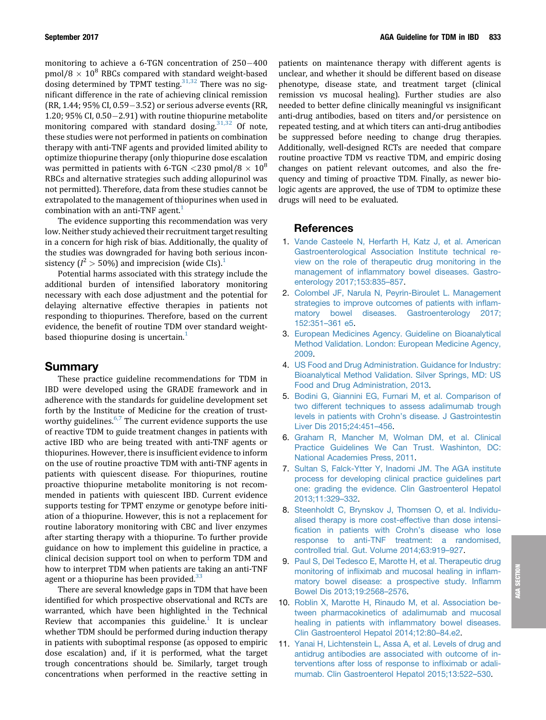<span id="page-6-0"></span>monitoring to achieve a 6-TGN concentration of  $250-400$ pmol/8  $\times$  10<sup>8</sup> RBCs compared with standard weight-based dosing determined by TPMT testing. $31,32$  There was no significant difference in the rate of achieving clinical remission  $(RR, 1.44; 95\% CI, 0.59-3.52)$  or serious adverse events  $(RR, 1.44; 95\%)$ 1.20; 95% CI,  $0.50-2.91$ ) with routine thiopurine metabolite monitoring compared with standard dosing.<sup>[31,32](#page-7-0)</sup> Of note, these studies were not performed in patients on combination therapy with anti-TNF agents and provided limited ability to optimize thiopurine therapy (only thiopurine dose escalation was permitted in patients with 6-TGN  $\langle 230 \text{ pmol}/8 \times 10^8 \rangle$ RBCs and alternative strategies such adding allopurinol was not permitted). Therefore, data from these studies cannot be extrapolated to the management of thiopurines when used in combination with an anti-TNF agent. $<sup>1</sup>$ </sup>

The evidence supporting this recommendation was very low. Neither study achieved their recruitment target resulting in a concern for high risk of bias. Additionally, the quality of the studies was downgraded for having both serious inconsistency ( $I^2 > 50\%$ ) and imprecision (wide CIs).<sup>1</sup>

Potential harms associated with this strategy include the additional burden of intensified laboratory monitoring necessary with each dose adjustment and the potential for delaying alternative effective therapies in patients not responding to thiopurines. Therefore, based on the current evidence, the benefit of routine TDM over standard weightbased thiopurine dosing is uncertain.<sup>1</sup>

## Summary

These practice guideline recommendations for TDM in IBD were developed using the GRADE framework and in adherence with the standards for guideline development set forth by the Institute of Medicine for the creation of trustworthy guidelines.<sup>6,7</sup> The current evidence supports the use of reactive TDM to guide treatment changes in patients with active IBD who are being treated with anti-TNF agents or thiopurines. However, there is insufficient evidence to inform on the use of routine proactive TDM with anti-TNF agents in patients with quiescent disease. For thiopurines, routine proactive thiopurine metabolite monitoring is not recommended in patients with quiescent IBD. Current evidence supports testing for TPMT enzyme or genotype before initiation of a thiopurine. However, this is not a replacement for routine laboratory monitoring with CBC and liver enzymes after starting therapy with a thiopurine. To further provide guidance on how to implement this guideline in practice, a clinical decision support tool on when to perform TDM and how to interpret TDM when patients are taking an anti-TNF agent or a thiopurine has been provided. $33$ 

There are several knowledge gaps in TDM that have been identified for which prospective observational and RCTs are warranted, which have been highlighted in the Technical Review that accompanies this guideline.<sup>1</sup> It is unclear whether TDM should be performed during induction therapy in patients with suboptimal response (as opposed to empiric dose escalation) and, if it is performed, what the target trough concentrations should be. Similarly, target trough concentrations when performed in the reactive setting in

patients on maintenance therapy with different agents is unclear, and whether it should be different based on disease phenotype, disease state, and treatment target (clinical remission vs mucosal healing). Further studies are also needed to better define clinically meaningful vs insignificant anti-drug antibodies, based on titers and/or persistence on repeated testing, and at which titers can anti-drug antibodies be suppressed before needing to change drug therapies. Additionally, well-designed RCTs are needed that compare routine proactive TDM vs reactive TDM, and empiric dosing changes on patient relevant outcomes, and also the frequency and timing of proactive TDM. Finally, as newer biologic agents are approved, the use of TDM to optimize these drugs will need to be evaluated.

## **References**

- 1. [Vande Casteele N, Herfarth H, Katz J, et al. American](http://refhub.elsevier.com/S0016-5085(17)35963-2/sref1) [Gastroenterological Association Institute technical re](http://refhub.elsevier.com/S0016-5085(17)35963-2/sref1)[view on the role of therapeutic drug monitoring in the](http://refhub.elsevier.com/S0016-5085(17)35963-2/sref1) management of infl[ammatory bowel diseases. Gastro](http://refhub.elsevier.com/S0016-5085(17)35963-2/sref1)[enterology 2017;153:835](http://refhub.elsevier.com/S0016-5085(17)35963-2/sref1)–[857](http://refhub.elsevier.com/S0016-5085(17)35963-2/sref1).
- 2. [Colombel JF, Narula N, Peyrin-Biroulet L. Management](http://refhub.elsevier.com/S0016-5085(17)35963-2/sref2) [strategies to improve outcomes of patients with in](http://refhub.elsevier.com/S0016-5085(17)35963-2/sref2)flam[matory bowel diseases. Gastroenterology 2017;](http://refhub.elsevier.com/S0016-5085(17)35963-2/sref2) [152:351](http://refhub.elsevier.com/S0016-5085(17)35963-2/sref2)–[361 e5.](http://refhub.elsevier.com/S0016-5085(17)35963-2/sref2)
- 3. [European Medicines Agency. Guideline on Bioanalytical](http://refhub.elsevier.com/S0016-5085(17)35963-2/sref3) [Method Validation. London: European Medicine Agency,](http://refhub.elsevier.com/S0016-5085(17)35963-2/sref3) [2009](http://refhub.elsevier.com/S0016-5085(17)35963-2/sref3).
- 4. [US Food and Drug Administration. Guidance for Industry:](http://refhub.elsevier.com/S0016-5085(17)35963-2/sref4) [Bioanalytical Method Validation. Silver Springs, MD: US](http://refhub.elsevier.com/S0016-5085(17)35963-2/sref4) [Food and Drug Administration, 2013.](http://refhub.elsevier.com/S0016-5085(17)35963-2/sref4)
- 5. [Bodini G, Giannini EG, Furnari M, et al. Comparison of](http://refhub.elsevier.com/S0016-5085(17)35963-2/sref5) [two different techniques to assess adalimumab trough](http://refhub.elsevier.com/S0016-5085(17)35963-2/sref5) [levels in patients with Crohn](http://refhub.elsevier.com/S0016-5085(17)35963-2/sref5)'s disease. J Gastrointestin [Liver Dis 2015;24:451](http://refhub.elsevier.com/S0016-5085(17)35963-2/sref5)–[456.](http://refhub.elsevier.com/S0016-5085(17)35963-2/sref5)
- 6. [Graham R, Mancher M, Wolman DM, et al. Clinical](http://refhub.elsevier.com/S0016-5085(17)35963-2/sref6) [Practice Guidelines We Can Trust. Washinton, DC:](http://refhub.elsevier.com/S0016-5085(17)35963-2/sref6) [National Academies Press, 2011.](http://refhub.elsevier.com/S0016-5085(17)35963-2/sref6)
- 7. [Sultan S, Falck-Ytter Y, Inadomi JM. The AGA institute](http://refhub.elsevier.com/S0016-5085(17)35963-2/sref7) [process for developing clinical practice guidelines part](http://refhub.elsevier.com/S0016-5085(17)35963-2/sref7) [one: grading the evidence. Clin Gastroenterol Hepatol](http://refhub.elsevier.com/S0016-5085(17)35963-2/sref7) [2013;11:329](http://refhub.elsevier.com/S0016-5085(17)35963-2/sref7)–[332](http://refhub.elsevier.com/S0016-5085(17)35963-2/sref7).
- 8. [Steenholdt C, Brynskov J, Thomsen O, et al. Individu](http://refhub.elsevier.com/S0016-5085(17)35963-2/sref8)[alised therapy is more cost-effective than dose intensi](http://refhub.elsevier.com/S0016-5085(17)35963-2/sref8)fi[cation in patients with Crohn](http://refhub.elsevier.com/S0016-5085(17)35963-2/sref8)'s disease who lose [response to anti-TNF treatment: a randomised,](http://refhub.elsevier.com/S0016-5085(17)35963-2/sref8) [controlled trial. Gut. Volume 2014;63:919](http://refhub.elsevier.com/S0016-5085(17)35963-2/sref8)–[927](http://refhub.elsevier.com/S0016-5085(17)35963-2/sref8).
- 9. [Paul S, Del Tedesco E, Marotte H, et al. Therapeutic drug](http://refhub.elsevier.com/S0016-5085(17)35963-2/sref9) monitoring of infl[iximab and mucosal healing in in](http://refhub.elsevier.com/S0016-5085(17)35963-2/sref9)flam[matory bowel disease: a prospective study. In](http://refhub.elsevier.com/S0016-5085(17)35963-2/sref9)flamm [Bowel Dis 2013;19:2568](http://refhub.elsevier.com/S0016-5085(17)35963-2/sref9)–[2576](http://refhub.elsevier.com/S0016-5085(17)35963-2/sref9).
- 10. [Roblin X, Marotte H, Rinaudo M, et al. Association be](http://refhub.elsevier.com/S0016-5085(17)35963-2/sref10)[tween pharmacokinetics of adalimumab and mucosal](http://refhub.elsevier.com/S0016-5085(17)35963-2/sref10) healing in patients with infl[ammatory bowel diseases.](http://refhub.elsevier.com/S0016-5085(17)35963-2/sref10) [Clin Gastroenterol Hepatol 2014;12:80](http://refhub.elsevier.com/S0016-5085(17)35963-2/sref10)–[84.e2.](http://refhub.elsevier.com/S0016-5085(17)35963-2/sref10)
- 11. [Yanai H, Lichtenstein L, Assa A, et al. Levels of drug and](http://refhub.elsevier.com/S0016-5085(17)35963-2/sref11) [antidrug antibodies are associated with outcome of in](http://refhub.elsevier.com/S0016-5085(17)35963-2/sref11)[terventions after loss of response to in](http://refhub.elsevier.com/S0016-5085(17)35963-2/sref11)fliximab or adali[mumab. Clin Gastroenterol Hepatol 2015;13:522](http://refhub.elsevier.com/S0016-5085(17)35963-2/sref11)–[530.](http://refhub.elsevier.com/S0016-5085(17)35963-2/sref11)